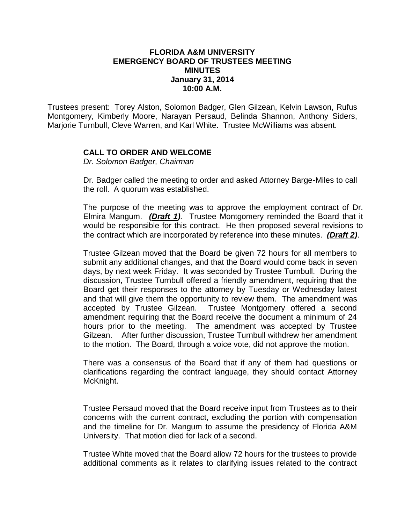## **FLORIDA A&M UNIVERSITY EMERGENCY BOARD OF TRUSTEES MEETING MINUTES January 31, 2014 10:00 A.M.**

Trustees present: Torey Alston, Solomon Badger, Glen Gilzean, Kelvin Lawson, Rufus Montgomery, Kimberly Moore, Narayan Persaud, Belinda Shannon, Anthony Siders, Marjorie Turnbull, Cleve Warren, and Karl White. Trustee McWilliams was absent.

## **CALL TO ORDER AND WELCOME**

*Dr. Solomon Badger, Chairman*

Dr. Badger called the meeting to order and asked Attorney Barge-Miles to call the roll. A quorum was established.

The purpose of the meeting was to approve the employment contract of Dr. Elmira Mangum. *(Draft 1).* Trustee Montgomery reminded the Board that it would be responsible for this contract. He then proposed several revisions to the contract which are incorporated by reference into these minutes. *(Draft 2)*.

Trustee Gilzean moved that the Board be given 72 hours for all members to submit any additional changes, and that the Board would come back in seven days, by next week Friday. It was seconded by Trustee Turnbull. During the discussion, Trustee Turnbull offered a friendly amendment, requiring that the Board get their responses to the attorney by Tuesday or Wednesday latest and that will give them the opportunity to review them. The amendment was accepted by Trustee Gilzean. Trustee Montgomery offered a second amendment requiring that the Board receive the document a minimum of 24 hours prior to the meeting. The amendment was accepted by Trustee Gilzean. After further discussion, Trustee Turnbull withdrew her amendment to the motion. The Board, through a voice vote, did not approve the motion.

There was a consensus of the Board that if any of them had questions or clarifications regarding the contract language, they should contact Attorney McKnight.

Trustee Persaud moved that the Board receive input from Trustees as to their concerns with the current contract, excluding the portion with compensation and the timeline for Dr. Mangum to assume the presidency of Florida A&M University. That motion died for lack of a second.

Trustee White moved that the Board allow 72 hours for the trustees to provide additional comments as it relates to clarifying issues related to the contract